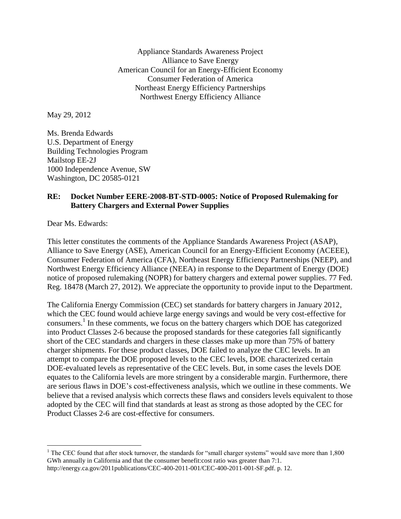Appliance Standards Awareness Project Alliance to Save Energy American Council for an Energy-Efficient Economy Consumer Federation of America Northeast Energy Efficiency Partnerships Northwest Energy Efficiency Alliance

May 29, 2012

Ms. Brenda Edwards U.S. Department of Energy Building Technologies Program Mailstop EE-2J 1000 Independence Avenue, SW Washington, DC 20585-0121

## **RE: Docket Number EERE-2008-BT-STD-0005: Notice of Proposed Rulemaking for Battery Chargers and External Power Supplies**

Dear Ms. Edwards:

 $\overline{a}$ 

This letter constitutes the comments of the Appliance Standards Awareness Project (ASAP), Alliance to Save Energy (ASE), American Council for an Energy-Efficient Economy (ACEEE), Consumer Federation of America (CFA), Northeast Energy Efficiency Partnerships (NEEP), and Northwest Energy Efficiency Alliance (NEEA) in response to the Department of Energy (DOE) notice of proposed rulemaking (NOPR) for battery chargers and external power supplies. 77 Fed. Reg. 18478 (March 27, 2012). We appreciate the opportunity to provide input to the Department.

The California Energy Commission (CEC) set standards for battery chargers in January 2012, which the CEC found would achieve large energy savings and would be very cost-effective for consumers. 1 In these comments, we focus on the battery chargers which DOE has categorized into Product Classes 2-6 because the proposed standards for these categories fall significantly short of the CEC standards and chargers in these classes make up more than 75% of battery charger shipments. For these product classes, DOE failed to analyze the CEC levels. In an attempt to compare the DOE proposed levels to the CEC levels, DOE characterized certain DOE-evaluated levels as representative of the CEC levels. But, in some cases the levels DOE equates to the California levels are more stringent by a considerable margin. Furthermore, there are serious flaws in DOE's cost-effectiveness analysis, which we outline in these comments. We believe that a revised analysis which corrects these flaws and considers levels equivalent to those adopted by the CEC will find that standards at least as strong as those adopted by the CEC for Product Classes 2-6 are cost-effective for consumers.

<sup>&</sup>lt;sup>1</sup> The CEC found that after stock turnover, the standards for "small charger systems" would save more than  $1,800$ GWh annually in California and that the consumer benefit:cost ratio was greater than 7:1. http://energy.ca.gov/2011publications/CEC-400-2011-001/CEC-400-2011-001-SF.pdf. p. 12.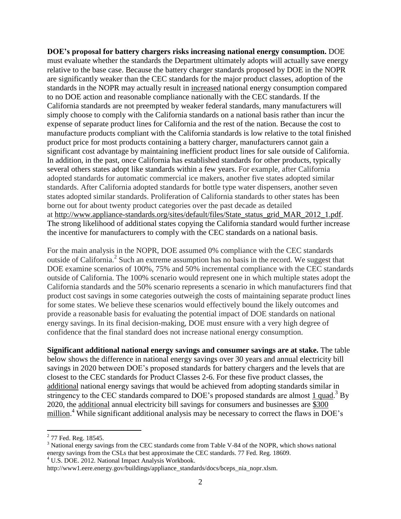**DOE's proposal for battery chargers risks increasing national energy consumption.** DOE must evaluate whether the standards the Department ultimately adopts will actually save energy relative to the base case. Because the battery charger standards proposed by DOE in the NOPR are significantly weaker than the CEC standards for the major product classes, adoption of the standards in the NOPR may actually result in increased national energy consumption compared to no DOE action and reasonable compliance nationally with the CEC standards. If the California standards are not preempted by weaker federal standards, many manufacturers will simply choose to comply with the California standards on a national basis rather than incur the expense of separate product lines for California and the rest of the nation. Because the cost to manufacture products compliant with the California standards is low relative to the total finished product price for most products containing a battery charger, manufacturers cannot gain a significant cost advantage by maintaining inefficient product lines for sale outside of California. In addition, in the past, once California has established standards for other products, typically several others states adopt like standards within a few years. For example, after California adopted standards for automatic commercial ice makers, another five states adopted similar standards. After California adopted standards for bottle type water dispensers, another seven states adopted similar standards. Proliferation of California standards to other states has been borne out for about twenty product categories over the past decade as detailed at [http://www.appliance-standards.org/sites/default/files/State\\_status\\_grid\\_MAR\\_2012\\_1.pdf.](http://www.appliance-standards.org/sites/default/files/State_status_grid_MAR_2012_1.pdf) The strong likelihood of additional states copying the California standard would further increase the incentive for manufacturers to comply with the CEC standards on a national basis.

For the main analysis in the NOPR, DOE assumed 0% compliance with the CEC standards outside of California.<sup>2</sup> Such an extreme assumption has no basis in the record. We suggest that DOE examine scenarios of 100%, 75% and 50% incremental compliance with the CEC standards outside of California. The 100% scenario would represent one in which multiple states adopt the California standards and the 50% scenario represents a scenario in which manufacturers find that product cost savings in some categories outweigh the costs of maintaining separate product lines for some states. We believe these scenarios would effectively bound the likely outcomes and provide a reasonable basis for evaluating the potential impact of DOE standards on national energy savings. In its final decision-making, DOE must ensure with a very high degree of confidence that the final standard does not increase national energy consumption.

**Significant additional national energy savings and consumer savings are at stake.** The table below shows the difference in national energy savings over 30 years and annual electricity bill savings in 2020 between DOE's proposed standards for battery chargers and the levels that are closest to the CEC standards for Product Classes 2-6. For these five product classes, the additional national energy savings that would be achieved from adopting standards similar in stringency to the CEC standards compared to DOE's proposed standards are almost 1 quad.<sup>3</sup> By 2020, the additional annual electricity bill savings for consumers and businesses are \$300  $\frac{1}{2}$  while significant additional analysis may be necessary to correct the flaws in DOE's

<sup>&</sup>lt;sup>2</sup> 77 Fed. Reg. 18545.

<sup>&</sup>lt;sup>3</sup> National energy savings from the CEC standards come from Table V-84 of the NOPR, which shows national energy savings from the CSLs that best approximate the CEC standards. 77 Fed. Reg. 18609.

<sup>&</sup>lt;sup>4</sup> U.S. DOE. 2012. National Impact Analysis Workbook.

http://www1.eere.energy.gov/buildings/appliance\_standards/docs/bceps\_nia\_nopr.xlsm.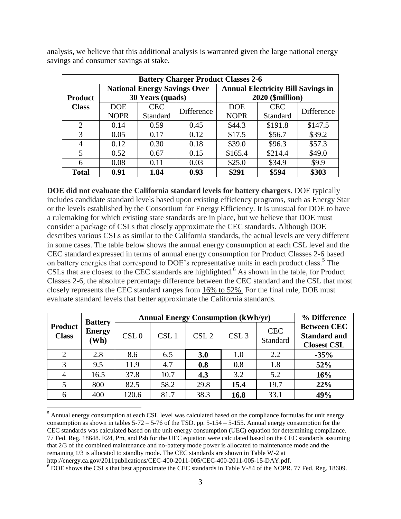| <b>Battery Charger Product Classes 2-6</b> |             |                                     |            |                                           |            |            |  |  |
|--------------------------------------------|-------------|-------------------------------------|------------|-------------------------------------------|------------|------------|--|--|
|                                            |             | <b>National Energy Savings Over</b> |            | <b>Annual Electricity Bill Savings in</b> |            |            |  |  |
| <b>Product</b>                             |             | 30 Years (quads)                    |            | 2020 (\$million)                          |            |            |  |  |
| <b>Class</b>                               | <b>DOE</b>  | <b>CEC</b>                          | Difference | <b>DOE</b>                                | <b>CEC</b> | Difference |  |  |
|                                            | <b>NOPR</b> | Standard                            |            | <b>NOPR</b>                               | Standard   |            |  |  |
| $\mathcal{D}$                              | 0.14        | 0.59                                | 0.45       | \$44.3                                    | \$191.8    | \$147.5    |  |  |
| 3                                          | 0.05        | 0.17                                | 0.12       | \$17.5                                    | \$56.7     | \$39.2     |  |  |
| 4                                          | 0.12        | 0.30                                | 0.18       | \$39.0                                    | \$96.3     | \$57.3     |  |  |
| 5                                          | 0.52        | 0.67                                | 0.15       | \$165.4                                   | \$214.4    | \$49.0     |  |  |
| 6                                          | 0.08        | 0.11                                | 0.03       | \$25.0                                    | \$34.9     | \$9.9      |  |  |
| <b>Total</b>                               | 0.91        | 1.84                                | 0.93       | \$291                                     | \$594      | \$303      |  |  |

analysis, we believe that this additional analysis is warranted given the large national energy savings and consumer savings at stake.

**DOE did not evaluate the California standard levels for battery chargers.** DOE typically includes candidate standard levels based upon existing efficiency programs, such as Energy Star or the levels established by the Consortium for Energy Efficiency. It is unusual for DOE to have a rulemaking for which existing state standards are in place, but we believe that DOE must consider a package of CSLs that closely approximate the CEC standards. Although DOE describes various CSLs as similar to the California standards, the actual levels are very different in some cases. The table below shows the annual energy consumption at each CSL level and the CEC standard expressed in terms of annual energy consumption for Product Classes 2-6 based on battery energies that correspond to DOE's representative units in each product class.<sup>5</sup> The CSLs that are closest to the CEC standards are highlighted.<sup>6</sup> As shown in the table, for Product Classes 2-6, the absolute percentage difference between the CEC standard and the CSL that most closely represents the CEC standard ranges from 16% to 52%. For the final rule, DOE must evaluate standard levels that better approximate the California standards.

| <b>Product</b><br><b>Class</b> | <b>Battery</b><br><b>Energy</b><br>(Wh) | <b>Annual Energy Consumption (kWh/yr)</b> | % Difference |                  |                  |                        |                                                                 |
|--------------------------------|-----------------------------------------|-------------------------------------------|--------------|------------------|------------------|------------------------|-----------------------------------------------------------------|
|                                |                                         | CSL <sub>0</sub>                          | CSL1         | CSL <sub>2</sub> | CSL <sub>3</sub> | <b>CEC</b><br>Standard | <b>Between CEC</b><br><b>Standard and</b><br><b>Closest CSL</b> |
| 2                              | 2.8                                     | 8.6                                       | 6.5          | 3.0              | 1.0              | 2.2                    | $-35%$                                                          |
| 3                              | 9.5                                     | 11.9                                      | 4.7          | 0.8              | 0.8              | 1.8                    | 52%                                                             |
| $\overline{4}$                 | 16.5                                    | 37.8                                      | 10.7         | 4.3              | 3.2              | 5.2                    | 16%                                                             |
|                                | 800                                     | 82.5                                      | 58.2         | 29.8             | 15.4             | 19.7                   | 22%                                                             |
| 6                              | 400                                     | 120.6                                     | 81.7         | 38.3             | 16.8             | 33.1                   | 49%                                                             |

<sup>&</sup>lt;sup>5</sup> Annual energy consumption at each CSL level was calculated based on the compliance formulas for unit energy consumption as shown in tables  $5-72 - 5-76$  of the TSD. pp.  $5-154 - 5-155$ . Annual energy consumption for the CEC standards was calculated based on the unit energy consumption (UEC) equation for determining compliance. 77 Fed. Reg. 18648. E24, Pm, and Psb for the UEC equation were calculated based on the CEC standards assuming that 2/3 of the combined maintenance and no-battery mode power is allocated to maintenance mode and the remaining 1/3 is allocated to standby mode. The CEC standards are shown in Table W-2 at

http://energy.ca.gov/2011publications/CEC-400-2011-005/CEC-400-2011-005-15-DAY.pdf.

<sup>6</sup> DOE shows the CSLs that best approximate the CEC standards in Table V-84 of the NOPR. 77 Fed. Reg. 18609.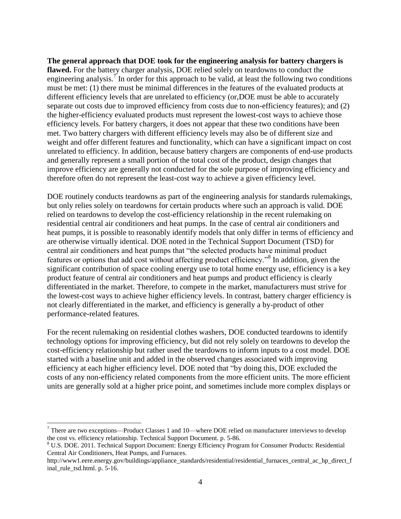**The general approach that DOE took for the engineering analysis for battery chargers is flawed.** For the battery charger analysis, DOE relied solely on teardowns to conduct the engineering analysis.<sup>7</sup> In order for this approach to be valid, at least the following two conditions must be met: (1) there must be minimal differences in the features of the evaluated products at different efficiency levels that are unrelated to efficiency (or,DOE must be able to accurately separate out costs due to improved efficiency from costs due to non-efficiency features); and (2) the higher-efficiency evaluated products must represent the lowest-cost ways to achieve those efficiency levels. For battery chargers, it does not appear that these two conditions have been met. Two battery chargers with different efficiency levels may also be of different size and weight and offer different features and functionality, which can have a significant impact on cost unrelated to efficiency. In addition, because battery chargers are components of end-use products and generally represent a small portion of the total cost of the product, design changes that improve efficiency are generally not conducted for the sole purpose of improving efficiency and therefore often do not represent the least-cost way to achieve a given efficiency level.

DOE routinely conducts teardowns as part of the engineering analysis for standards rulemakings, but only relies solely on teardowns for certain products where such an approach is valid. DOE relied on teardowns to develop the cost-efficiency relationship in the recent rulemaking on residential central air conditioners and heat pumps. In the case of central air conditioners and heat pumps, it is possible to reasonably identify models that only differ in terms of efficiency and are otherwise virtually identical. DOE noted in the Technical Support Document (TSD) for central air conditioners and heat pumps that "the selected products have minimal product features or options that add cost without affecting product efficiency."<sup>8</sup> In addition, given the significant contribution of space cooling energy use to total home energy use, efficiency is a key product feature of central air conditioners and heat pumps and product efficiency is clearly differentiated in the market. Therefore, to compete in the market, manufacturers must strive for the lowest-cost ways to achieve higher efficiency levels. In contrast, battery charger efficiency is not clearly differentiated in the market, and efficiency is generally a by-product of other performance-related features.

For the recent rulemaking on residential clothes washers, DOE conducted teardowns to identify technology options for improving efficiency, but did not rely solely on teardowns to develop the cost-efficiency relationship but rather used the teardowns to inform inputs to a cost model. DOE started with a baseline unit and added in the observed changes associated with improving efficiency at each higher efficiency level. DOE noted that "by doing this, DOE excluded the costs of any non-efficiency related components from the more efficient units. The more efficient units are generally sold at a higher price point, and sometimes include more complex displays or

 $<sup>7</sup>$  There are two exceptions—Product Classes 1 and 10—where DOE relied on manufacturer interviews to develop</sup> the cost vs. efficiency relationship. Technical Support Document. p. 5-86.

<sup>8</sup> U.S. DOE. 2011. Technical Support Document: Energy Efficiency Program for Consumer Products: Residential Central Air Conditioners, Heat Pumps, and Furnaces.

http://www1.eere.energy.gov/buildings/appliance\_standards/residential/residential\_furnaces\_central\_ac\_hp\_direct\_f inal\_rule\_tsd.html. p. 5-16.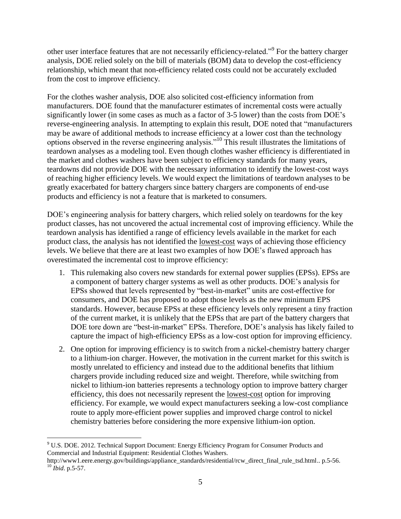other user interface features that are not necessarily efficiency-related."<sup>9</sup> For the battery charger analysis, DOE relied solely on the bill of materials (BOM) data to develop the cost-efficiency relationship, which meant that non-efficiency related costs could not be accurately excluded from the cost to improve efficiency.

For the clothes washer analysis, DOE also solicited cost-efficiency information from manufacturers. DOE found that the manufacturer estimates of incremental costs were actually significantly lower (in some cases as much as a factor of 3-5 lower) than the costs from DOE's reverse-engineering analysis. In attempting to explain this result, DOE noted that "manufacturers may be aware of additional methods to increase efficiency at a lower cost than the technology options observed in the reverse engineering analysis."<sup>10</sup> This result illustrates the limitations of teardown analyses as a modeling tool. Even though clothes washer efficiency is differentiated in the market and clothes washers have been subject to efficiency standards for many years, teardowns did not provide DOE with the necessary information to identify the lowest-cost ways of reaching higher efficiency levels. We would expect the limitations of teardown analyses to be greatly exacerbated for battery chargers since battery chargers are components of end-use products and efficiency is not a feature that is marketed to consumers.

DOE's engineering analysis for battery chargers, which relied solely on teardowns for the key product classes, has not uncovered the actual incremental cost of improving efficiency. While the teardown analysis has identified a range of efficiency levels available in the market for each product class, the analysis has not identified the lowest-cost ways of achieving those efficiency levels. We believe that there are at least two examples of how DOE's flawed approach has overestimated the incremental cost to improve efficiency:

- 1. This rulemaking also covers new standards for external power supplies (EPSs). EPSs are a component of battery charger systems as well as other products. DOE's analysis for EPSs showed that levels represented by "best-in-market" units are cost-effective for consumers, and DOE has proposed to adopt those levels as the new minimum EPS standards. However, because EPSs at these efficiency levels only represent a tiny fraction of the current market, it is unlikely that the EPSs that are part of the battery chargers that DOE tore down are "best-in-market" EPSs. Therefore, DOE's analysis has likely failed to capture the impact of high-efficiency EPSs as a low-cost option for improving efficiency.
- 2. One option for improving efficiency is to switch from a nickel-chemistry battery charger to a lithium-ion charger. However, the motivation in the current market for this switch is mostly unrelated to efficiency and instead due to the additional benefits that lithium chargers provide including reduced size and weight. Therefore, while switching from nickel to lithium-ion batteries represents a technology option to improve battery charger efficiency, this does not necessarily represent the lowest-cost option for improving efficiency. For example, we would expect manufacturers seeking a low-cost compliance route to apply more-efficient power supplies and improved charge control to nickel chemistry batteries before considering the more expensive lithium-ion option.

<sup>9</sup> U.S. DOE. 2012. Technical Support Document: Energy Efficiency Program for Consumer Products and Commercial and Industrial Equipment: Residential Clothes Washers.

http://www1.eere.energy.gov/buildings/appliance\_standards/residential/rcw\_direct\_final\_rule\_tsd.html.. p.5-56. <sup>10</sup> *Ibid*. p.5-57.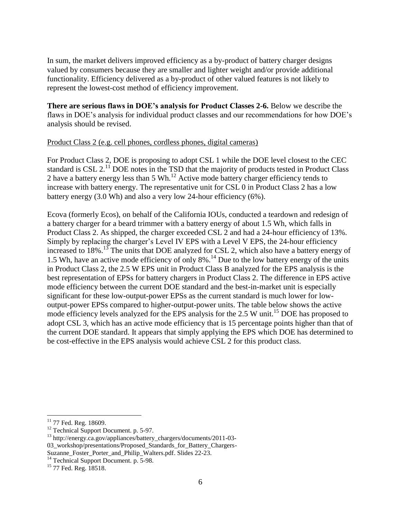In sum, the market delivers improved efficiency as a by-product of battery charger designs valued by consumers because they are smaller and lighter weight and/or provide additional functionality. Efficiency delivered as a by-product of other valued features is not likely to represent the lowest-cost method of efficiency improvement.

**There are serious flaws in DOE's analysis for Product Classes 2-6.** Below we describe the flaws in DOE's analysis for individual product classes and our recommendations for how DOE's analysis should be revised.

## Product Class 2 (e.g. cell phones, cordless phones, digital cameras)

For Product Class 2, DOE is proposing to adopt CSL 1 while the DOE level closest to the CEC standard is CSL  $2<sup>11</sup>$  DOE notes in the TSD that the majority of products tested in Product Class 2 have a battery energy less than 5 Wh.<sup>12</sup> Active mode battery charger efficiency tends to increase with battery energy. The representative unit for CSL 0 in Product Class 2 has a low battery energy (3.0 Wh) and also a very low 24-hour efficiency (6%).

Ecova (formerly Ecos), on behalf of the California IOUs, conducted a teardown and redesign of a battery charger for a beard trimmer with a battery energy of about 1.5 Wh, which falls in Product Class 2. As shipped, the charger exceeded CSL 2 and had a 24-hour efficiency of 13%. Simply by replacing the charger's Level IV EPS with a Level V EPS, the 24-hour efficiency increased to 18%.<sup>13</sup> The units that DOE analyzed for CSL 2, which also have a battery energy of 1.5 Wh, have an active mode efficiency of only 8%.<sup>14</sup> Due to the low battery energy of the units in Product Class 2, the 2.5 W EPS unit in Product Class B analyzed for the EPS analysis is the best representation of EPSs for battery chargers in Product Class 2. The difference in EPS active mode efficiency between the current DOE standard and the best-in-market unit is especially significant for these low-output-power EPSs as the current standard is much lower for lowoutput-power EPSs compared to higher-output-power units. The table below shows the active mode efficiency levels analyzed for the EPS analysis for the 2.5 W unit.<sup>15</sup> DOE has proposed to adopt CSL 3, which has an active mode efficiency that is 15 percentage points higher than that of the current DOE standard. It appears that simply applying the EPS which DOE has determined to be cost-effective in the EPS analysis would achieve CSL 2 for this product class.

 $\overline{a}$  $11$  77 Fed. Reg. 18609.

<sup>&</sup>lt;sup>12</sup> Technical Support Document. p. 5-97.

<sup>&</sup>lt;sup>13</sup> http://energy.ca.gov/appliances/battery\_chargers/documents/2011-03-03\_workshop/presentations/Proposed\_Standards\_for\_Battery\_Chargers-Suzanne Foster Porter and Philip Walters.pdf. Slides 22-23.

 $14$  Technical Support Document. p. 5-98.

<sup>&</sup>lt;sup>15</sup> 77 Fed. Reg. 18518.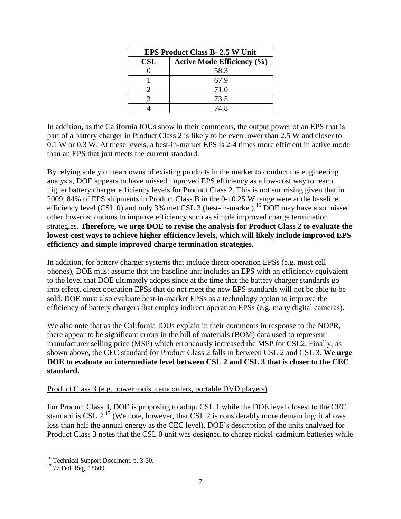| <b>EPS Product Class B-2.5 W Unit</b> |                                   |  |  |  |
|---------------------------------------|-----------------------------------|--|--|--|
| <b>CSL</b>                            | <b>Active Mode Efficiency (%)</b> |  |  |  |
|                                       | 58.3                              |  |  |  |
|                                       | 67.9                              |  |  |  |
|                                       | 71.0                              |  |  |  |
|                                       | 73.5                              |  |  |  |
|                                       | 74.8                              |  |  |  |

In addition, as the California IOUs show in their comments, the output power of an EPS that is part of a battery charger in Product Class 2 is likely to be even lower than 2.5 W and closer to 0.1 W or 0.3 W. At these levels, a best-in-market EPS is 2-4 times more efficient in active mode than an EPS that just meets the current standard.

By relying solely on teardowns of existing products in the market to conduct the engineering analysis, DOE appears to have missed improved EPS efficiency as a low-cost way to reach higher battery charger efficiency levels for Product Class 2. This is not surprising given that in 2009, 84% of EPS shipments in Product Class B in the 0-10.25 W range were at the baseline efficiency level (CSL  $\overline{0}$ ) and only 3% met CSL 3 (best-in-market).<sup>16</sup> DOE may have also missed other low-cost options to improve efficiency such as simple improved charge termination strategies. **Therefore, we urge DOE to revise the analysis for Product Class 2 to evaluate the lowest-cost ways to achieve higher efficiency levels, which will likely include improved EPS efficiency and simple improved charge termination strategies.**

In addition, for battery charger systems that include direct operation EPSs (e.g. most cell phones), DOE must assume that the baseline unit includes an EPS with an efficiency equivalent to the level that DOE ultimately adopts since at the time that the battery charger standards go into effect, direct operation EPSs that do not meet the new EPS standards will not be able to be sold. DOE must also evaluate best-in-market EPSs as a technology option to improve the efficiency of battery chargers that employ indirect operation EPSs (e.g. many digital cameras).

We also note that as the California IOUs explain in their comments in response to the NOPR, there appear to be significant errors in the bill of materials (BOM) data used to represent manufacturer selling price (MSP) which erroneously increased the MSP for CSL2. Finally, as shown above, the CEC standard for Product Class 2 falls in between CSL 2 and CSL 3. **We urge DOE to evaluate an intermediate level between CSL 2 and CSL 3 that is closer to the CEC standard.**

### Product Class 3 (e.g. power tools, camcorders, portable DVD players)

For Product Class 3, DOE is proposing to adopt CSL 1 while the DOE level closest to the CEC standard is CSL  $2^{17}$  (We note, however, that CSL 2 is considerably more demanding: it allows less than half the annual energy as the CEC level). DOE's description of the units analyzed for Product Class 3 notes that the CSL 0 unit was designed to charge nickel-cadmium batteries while

<sup>&</sup>lt;sup>16</sup> Technical Support Document. p. 3-30.

<sup>&</sup>lt;sup>17</sup> 77 Fed. Reg. 18609.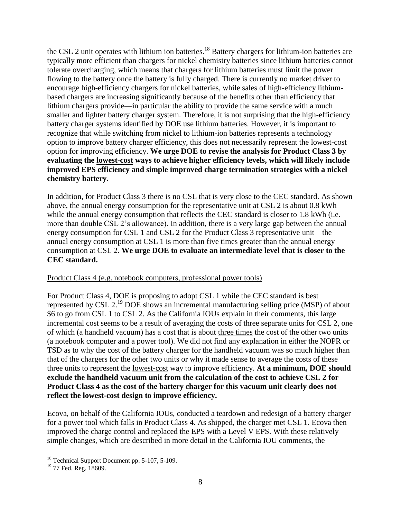the CSL 2 unit operates with lithium ion batteries.<sup>18</sup> Battery chargers for lithium-ion batteries are typically more efficient than chargers for nickel chemistry batteries since lithium batteries cannot tolerate overcharging, which means that chargers for lithium batteries must limit the power flowing to the battery once the battery is fully charged. There is currently no market driver to encourage high-efficiency chargers for nickel batteries, while sales of high-efficiency lithiumbased chargers are increasing significantly because of the benefits other than efficiency that lithium chargers provide—in particular the ability to provide the same service with a much smaller and lighter battery charger system. Therefore, it is not surprising that the high-efficiency battery charger systems identified by DOE use lithium batteries. However, it is important to recognize that while switching from nickel to lithium-ion batteries represents a technology option to improve battery charger efficiency, this does not necessarily represent the lowest-cost option for improving efficiency. **We urge DOE to revise the analysis for Product Class 3 by evaluating the lowest-cost ways to achieve higher efficiency levels, which will likely include improved EPS efficiency and simple improved charge termination strategies with a nickel chemistry battery.**

In addition, for Product Class 3 there is no CSL that is very close to the CEC standard. As shown above, the annual energy consumption for the representative unit at CSL 2 is about 0.8 kWh while the annual energy consumption that reflects the CEC standard is closer to 1.8 kWh (i.e. more than double CSL 2's allowance). In addition, there is a very large gap between the annual energy consumption for CSL 1 and CSL 2 for the Product Class 3 representative unit—the annual energy consumption at CSL 1 is more than five times greater than the annual energy consumption at CSL 2. **We urge DOE to evaluate an intermediate level that is closer to the CEC standard.**

# Product Class 4 (e.g. notebook computers, professional power tools)

For Product Class 4, DOE is proposing to adopt CSL 1 while the CEC standard is best represented by CSL 2.<sup>19</sup> DOE shows an incremental manufacturing selling price (MSP) of about \$6 to go from CSL 1 to CSL 2. As the California IOUs explain in their comments, this large incremental cost seems to be a result of averaging the costs of three separate units for CSL 2, one of which (a handheld vacuum) has a cost that is about three times the cost of the other two units (a notebook computer and a power tool). We did not find any explanation in either the NOPR or TSD as to why the cost of the battery charger for the handheld vacuum was so much higher than that of the chargers for the other two units or why it made sense to average the costs of these three units to represent the lowest-cost way to improve efficiency. **At a minimum, DOE should exclude the handheld vacuum unit from the calculation of the cost to achieve CSL 2 for Product Class 4 as the cost of the battery charger for this vacuum unit clearly does not reflect the lowest-cost design to improve efficiency.**

Ecova, on behalf of the California IOUs, conducted a teardown and redesign of a battery charger for a power tool which falls in Product Class 4. As shipped, the charger met CSL 1. Ecova then improved the charge control and replaced the EPS with a Level V EPS. With these relatively simple changes, which are described in more detail in the California IOU comments, the

<sup>&</sup>lt;sup>18</sup> Technical Support Document pp. 5-107, 5-109.

 $19$  77 Fed. Reg. 18609.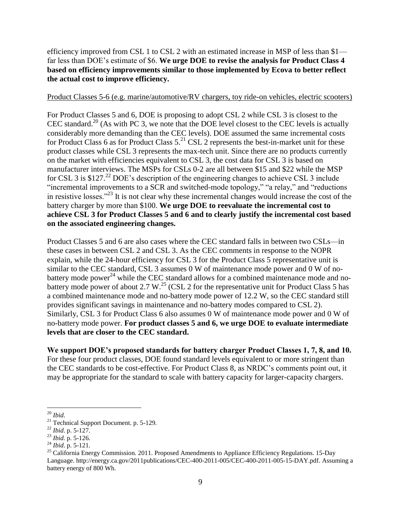efficiency improved from CSL 1 to CSL 2 with an estimated increase in MSP of less than \$1 far less than DOE's estimate of \$6. **We urge DOE to revise the analysis for Product Class 4 based on efficiency improvements similar to those implemented by Ecova to better reflect the actual cost to improve efficiency.**

### Product Classes 5-6 (e.g. marine/automotive/RV chargers, toy ride-on vehicles, electric scooters)

For Product Classes 5 and 6, DOE is proposing to adopt CSL 2 while CSL 3 is closest to the CEC standard.<sup>20</sup> (As with PC 3, we note that the DOE level closest to the CEC levels is actually considerably more demanding than the CEC levels). DOE assumed the same incremental costs for Product Class 6 as for Product Class  $5.^{21}$  CSL 2 represents the best-in-market unit for these product classes while CSL 3 represents the max-tech unit. Since there are no products currently on the market with efficiencies equivalent to CSL 3, the cost data for CSL 3 is based on manufacturer interviews. The MSPs for CSLs 0-2 are all between \$15 and \$22 while the MSP for CSL 3 is  $$127<sup>22</sup>$  DOE's description of the engineering changes to achieve CSL 3 include "incremental improvements to a SCR and switched-mode topology," "a relay," and "reductions in resistive losses."<sup>23</sup> It is not clear why these incremental changes would increase the cost of the battery charger by more than \$100. **We urge DOE to reevaluate the incremental cost to achieve CSL 3 for Product Classes 5 and 6 and to clearly justify the incremental cost based on the associated engineering changes.**

Product Classes 5 and 6 are also cases where the CEC standard falls in between two CSLs—in these cases in between CSL 2 and CSL 3. As the CEC comments in response to the NOPR explain, while the 24-hour efficiency for CSL 3 for the Product Class 5 representative unit is similar to the CEC standard, CSL 3 assumes 0 W of maintenance mode power and 0 W of nobattery mode power<sup>24</sup> while the CEC standard allows for a combined maintenance mode and nobattery mode power of about 2.7 W.<sup>25</sup> (CSL 2 for the representative unit for Product Class 5 has a combined maintenance mode and no-battery mode power of 12.2 W, so the CEC standard still provides significant savings in maintenance and no-battery modes compared to CSL 2). Similarly, CSL 3 for Product Class 6 also assumes 0 W of maintenance mode power and 0 W of no-battery mode power. **For product classes 5 and 6, we urge DOE to evaluate intermediate levels that are closer to the CEC standard.**

**We support DOE's proposed standards for battery charger Product Classes 1, 7, 8, and 10.**  For these four product classes, DOE found standard levels equivalent to or more stringent than the CEC standards to be cost-effective. For Product Class 8, as NRDC's comments point out, it may be appropriate for the standard to scale with battery capacity for larger-capacity chargers.

 $\overline{a}$ <sup>20</sup> *Ibid*.

<sup>&</sup>lt;sup>21</sup> Technical Support Document. p. 5-129.

<sup>22</sup> *Ibid*. p. 5-127.

<sup>23</sup> *Ibid.* p. 5-126.

<sup>24</sup> *Ibid*. p. 5-121.

 $^{25}$  California Energy Commission. 2011. Proposed Amendments to Appliance Efficiency Regulations. 15-Day Language. http://energy.ca.gov/2011publications/CEC-400-2011-005/CEC-400-2011-005-15-DAY.pdf. Assuming a battery energy of 800 Wh.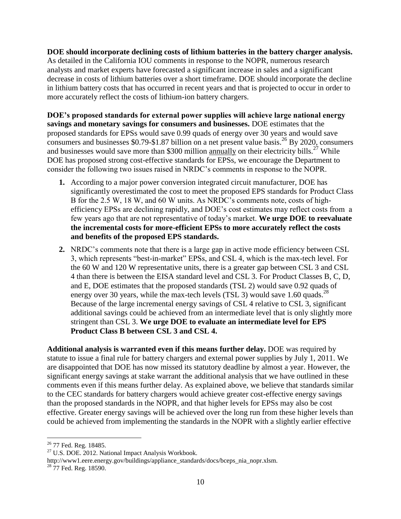**DOE should incorporate declining costs of lithium batteries in the battery charger analysis.** As detailed in the California IOU comments in response to the NOPR, numerous research analysts and market experts have forecasted a significant increase in sales and a significant decrease in costs of lithium batteries over a short timeframe. DOE should incorporate the decline in lithium battery costs that has occurred in recent years and that is projected to occur in order to more accurately reflect the costs of lithium-ion battery chargers.

**DOE's proposed standards for external power supplies will achieve large national energy savings and monetary savings for consumers and businesses.** DOE estimates that the proposed standards for EPSs would save 0.99 quads of energy over 30 years and would save consumers and businesses \$0.79-\$1.87 billion on a net present value basis.<sup>26</sup> By 2020, consumers and businesses would save more than \$300 million annually on their electricity bills.<sup>27</sup> While DOE has proposed strong cost-effective standards for EPSs, we encourage the Department to consider the following two issues raised in NRDC's comments in response to the NOPR.

- **1.** According to a major power conversion integrated circuit manufacturer, DOE has significantly overestimated the cost to meet the proposed EPS standards for Product Class B for the 2.5 W, 18 W, and 60 W units. As NRDC's comments note, costs of highefficiency EPSs are declining rapidly, and DOE's cost estimates may reflect costs from a few years ago that are not representative of today's market. **We urge DOE to reevaluate the incremental costs for more-efficient EPSs to more accurately reflect the costs and benefits of the proposed EPS standards.**
- **2.** NRDC's comments note that there is a large gap in active mode efficiency between CSL 3, which represents "best-in-market" EPSs, and CSL 4, which is the max-tech level. For the 60 W and 120 W representative units, there is a greater gap between CSL 3 and CSL 4 than there is between the EISA standard level and CSL 3. For Product Classes B, C, D, and E, DOE estimates that the proposed standards (TSL 2) would save 0.92 quads of energy over 30 years, while the max-tech levels (TSL 3) would save 1.60 quads.<sup>28</sup> Because of the large incremental energy savings of CSL 4 relative to CSL 3, significant additional savings could be achieved from an intermediate level that is only slightly more stringent than CSL 3. **We urge DOE to evaluate an intermediate level for EPS Product Class B between CSL 3 and CSL 4.**

**Additional analysis is warranted even if this means further delay.** DOE was required by statute to issue a final rule for battery chargers and external power supplies by July 1, 2011. We are disappointed that DOE has now missed its statutory deadline by almost a year. However, the significant energy savings at stake warrant the additional analysis that we have outlined in these comments even if this means further delay. As explained above, we believe that standards similar to the CEC standards for battery chargers would achieve greater cost-effective energy savings than the proposed standards in the NOPR, and that higher levels for EPSs may also be cost effective. Greater energy savings will be achieved over the long run from these higher levels than could be achieved from implementing the standards in the NOPR with a slightly earlier effective

<sup>&</sup>lt;sup>26</sup> 77 Fed. Reg. 18485.

<sup>&</sup>lt;sup>27</sup> U.S. DOE. 2012. National Impact Analysis Workbook.

http://www1.eere.energy.gov/buildings/appliance\_standards/docs/bceps\_nia\_nopr.xlsm.

<sup>&</sup>lt;sup>28</sup> 77 Fed. Reg. 18590.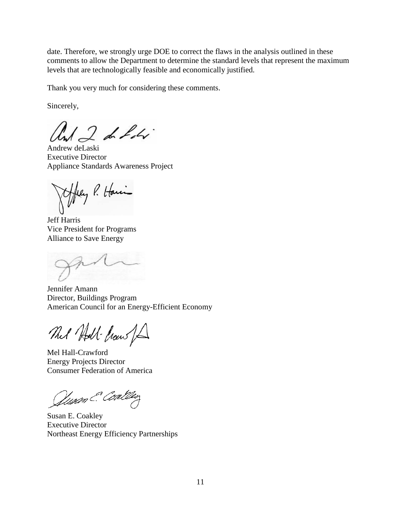date. Therefore, we strongly urge DOE to correct the flaws in the analysis outlined in these comments to allow the Department to determine the standard levels that represent the maximum levels that are technologically feasible and economically justified.

Thank you very much for considering these comments.

Sincerely,

 $12$  de Libr

Andrew deLaski Executive Director Appliance Standards Awareness Project

tfley P. Havin

Jeff Harris Vice President for Programs Alliance to Save Energy

Jennifer Amann Director, Buildings Program American Council for an Energy-Efficient Economy

That Holl- Crow for

Mel Hall-Crawford Energy Projects Director Consumer Federation of America

Quam & Coaldey

Susan E. Coakley Executive Director Northeast Energy Efficiency Partnerships